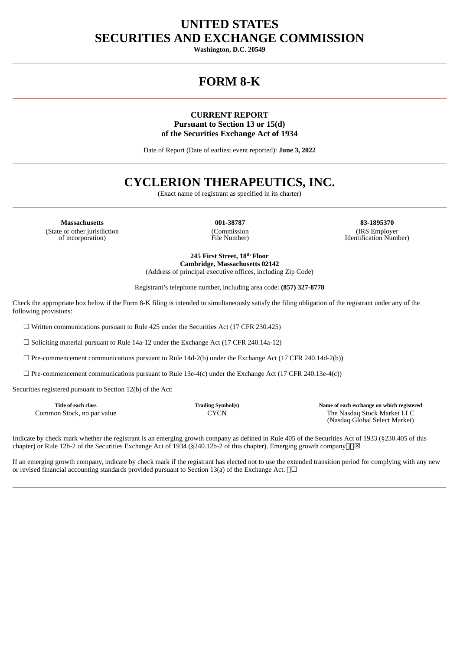## **UNITED STATES SECURITIES AND EXCHANGE COMMISSION**

**Washington, D.C. 20549**

# **FORM 8-K**

### **CURRENT REPORT Pursuant to Section 13 or 15(d) of the Securities Exchange Act of 1934**

Date of Report (Date of earliest event reported): **June 3, 2022**

## **CYCLERION THERAPEUTICS, INC.**

(Exact name of registrant as specified in its charter)

**Massachusetts 001-38787 83-1895370** (State or other jurisdiction of incorporation)

(Commission File Number)

(IRS Employer Identification Number)

**245 First Street, 18 th Floor Cambridge, Massachusetts 02142** (Address of principal executive offices, including Zip Code)

Registrant's telephone number, including area code: **(857) 327-8778**

Check the appropriate box below if the Form 8-K filing is intended to simultaneously satisfy the filing obligation of the registrant under any of the following provisions:

 $\Box$  Written communications pursuant to Rule 425 under the Securities Act (17 CFR 230.425)

☐ Soliciting material pursuant to Rule 14a-12 under the Exchange Act (17 CFR 240.14a-12)

☐ Pre-commencement communications pursuant to Rule 14d-2(b) under the Exchange Act (17 CFR 240.14d-2(b))

 $\Box$  Pre-commencement communications pursuant to Rule 13e-4(c) under the Exchange Act (17 CFR 240.13e-4(c))

Securities registered pursuant to Section 12(b) of the Act:

| Title of each class        | Trading Svmbol(s) | Name of each exchange on which registered |
|----------------------------|-------------------|-------------------------------------------|
| Common Stock, no par value | CYCN              | The Nasdag Stock Market LLC               |
|                            |                   | (Nasdaq Global Select Market)             |

Indicate by check mark whether the registrant is an emerging growth company as defined in Rule 405 of the Securities Act of 1933 (§230.405 of this chapter) or Rule 12b-2 of the Securities Exchange Act of 1934 (§240.12b-2 of this chapter). Emerging growth company $\Box$ 

If an emerging growth company, indicate by check mark if the registrant has elected not to use the extended transition period for complying with any new or revised financial accounting standards provided pursuant to Section 13(a) of the Exchange Act. □□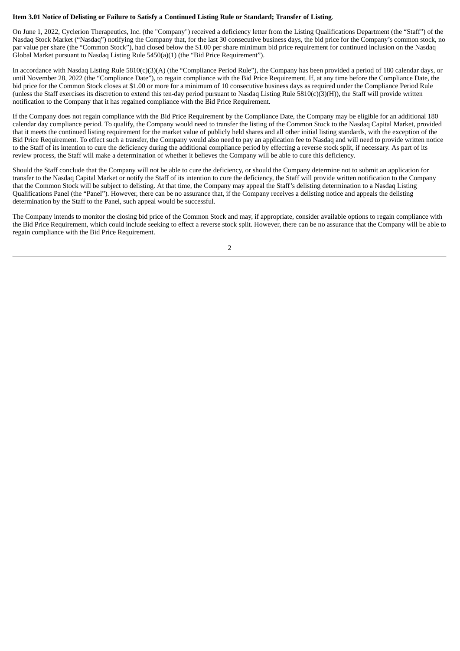#### Item 3.01 Notice of Delisting or Failure to Satisfy a Continued Listing Rule or Standard; Transfer of Listing.

On June 1, 2022, Cyclerion Therapeutics, Inc. (the "Company") received a deficiency letter from the Listing Qualifications Department (the "Staff") of the Nasdaq Stock Market ("Nasdaq") notifying the Company that, for the last 30 consecutive business days, the bid price for the Company's common stock, no par value per share (the "Common Stock"), had closed below the \$1.00 per share minimum bid price requirement for continued inclusion on the Nasdaq Global Market pursuant to Nasdaq Listing Rule 5450(a)(1) (the "Bid Price Requirement").

In accordance with Nasdaq Listing Rule 5810(c)(3)(A) (the "Compliance Period Rule"), the Company has been provided a period of 180 calendar days, or until November 28, 2022 (the "Compliance Date"), to regain compliance with the Bid Price Requirement. If, at any time before the Compliance Date, the bid price for the Common Stock closes at \$1.00 or more for a minimum of 10 consecutive business days as required under the Compliance Period Rule (unless the Staff exercises its discretion to extend this ten-day period pursuant to Nasdaq Listing Rule 5810(c)(3)(H)), the Staff will provide written notification to the Company that it has regained compliance with the Bid Price Requirement.

If the Company does not regain compliance with the Bid Price Requirement by the Compliance Date, the Company may be eligible for an additional 180 calendar day compliance period. To qualify, the Company would need to transfer the listing of the Common Stock to the Nasdaq Capital Market, provided that it meets the continued listing requirement for the market value of publicly held shares and all other initial listing standards, with the exception of the Bid Price Requirement. To effect such a transfer, the Company would also need to pay an application fee to Nasdaq and will need to provide written notice to the Staff of its intention to cure the deficiency during the additional compliance period by effecting a reverse stock split, if necessary. As part of its review process, the Staff will make a determination of whether it believes the Company will be able to cure this deficiency.

Should the Staff conclude that the Company will not be able to cure the deficiency, or should the Company determine not to submit an application for transfer to the Nasdaq Capital Market or notify the Staff of its intention to cure the deficiency, the Staff will provide written notification to the Company that the Common Stock will be subject to delisting. At that time, the Company may appeal the Staff's delisting determination to a Nasdaq Listing Qualifications Panel (the "Panel"). However, there can be no assurance that, if the Company receives a delisting notice and appeals the delisting determination by the Staff to the Panel, such appeal would be successful.

The Company intends to monitor the closing bid price of the Common Stock and may, if appropriate, consider available options to regain compliance with the Bid Price Requirement, which could include seeking to effect a reverse stock split. However, there can be no assurance that the Company will be able to regain compliance with the Bid Price Requirement.

2